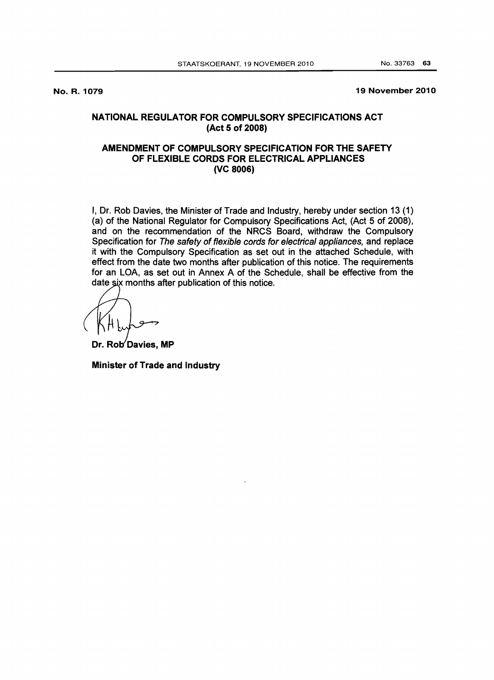No. R. 1079

19 November 2010

## NATIONAL REGULATOR FOR COMPULSORY SPECIFICATIONS ACT (Act 5 of 2008)

## AMENDMENT OF COMPULSORY SPECIFICATION FOR THE SAFETY OF FLEXIBLE CORDS FOR ELECTRICAL APPLIANCES (VC 8006)

I, Dr. Rob Davies, the Minister of Trade and Industry, hereby under section 13 (1) (a) of the National Regulator for Compulsory Specifications Act, (Act 5 of 2008), and on the recommendation of the NRCS Board, withdraw the Compulsory Specification for The safety of flexible cords for electrical appliances, and replace it with the Compulsory Specification as set out in the attached Schedule, with effect from the date two months after publication of this notice. The requirements for an LOA, as set out in Annex A of the Schedule, shall be effective from the date six months after publication of this notice.

Dr. Rob Davies, MP

Minister of Trade and Industry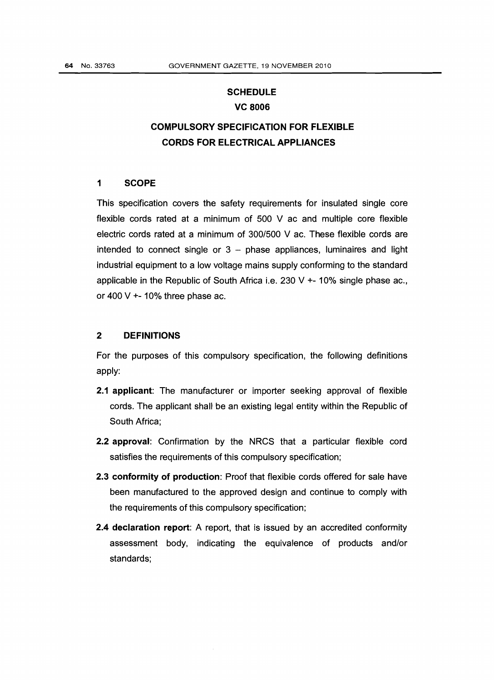## **SCHEDULE** VC 8006

# COMPULSORY SPECIFICATION FOR FLEXIBLE CORDS FOR ELECTRICAL APPLIANCES

#### 1 SCOPE

This specification covers the safety requirements for insulated single core flexible cords rated at a minimum of 500 V ac and multiple core flexible electric cords rated at a minimum of *300/500* V ac. These flexible cords are intended to connect single or  $3 -$  phase appliances, luminaires and light industrial equipment to a low voltage mains supply conforming to the standard applicable in the Republic of South Africa i.e. 230 V  $+$ -10% single phase ac., or 400 V  $+$ - 10% three phase ac.

#### 2 DEFINITIONS

For the purposes of this compulsory specification, the following definitions apply:

- 2.1 applicant: The manufacturer or importer seeking approval of flexible cords. The applicant shall be an existing legal entity within the Republic of South Africa;
- 2.2 approval: Confirmation by the NRCS that a particular flexible cord satisfies the requirements of this compulsory specification;
- 2.3 conformity of production: Proof that flexible cords offered for sale have been manufactured to the approved design and continue to comply with the requirements of this compulsory specification;
- 2.4 declaration report: A report, that is issued by an accredited conformity assessment body, indicating the equivalence of products and/or standards;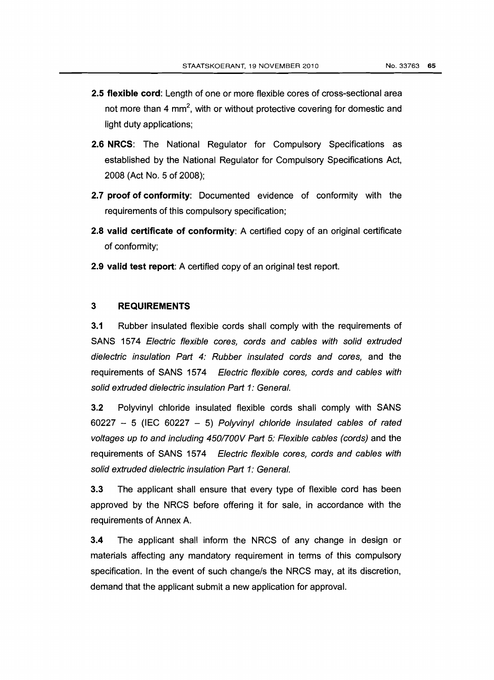- 2.5 flexible cord: Length of one or more flexible cores of cross-sectional area not more than 4 mm<sup>2</sup>, with or without protective covering for domestic and light duty applications;
- 2.6 NRCS: The National Regulator for Compulsory Specifications as established by the National Regulator for Compulsory Specifications Act, 2008 (Act No.5 of 2008);
- 2.7 proof of conformity: Documented evidence of conformity with the requirements of this compulsory specification;
- 2.8 valid certificate of conformity: A certified copy of an original certificate of conformity;
- 2.9 valid test report: A certified copy of an original test report.

## 3 REQUIREMENTS

3.1 Rubber insulated flexible cords shall comply with the requirements of SANS 1574 Electric flexible cores, cords and cables with solid extruded dielectric insulation Part 4: Rubber insulated cords and cores, and the requirements of SANS 1574 Electric flexible cores, cords and cables with solid extruded dielectric insulation Part 1: General.

3.2 Polyvinyl chloride insulated flexible cords shall comply with SANS  $60227 - 5$  (IEC  $60227 - 5$ ) Polyvinyl chloride insulated cables of rated voltages up to and including 450/700V Part 5: Flexible cables (cords) and the requirements of SANS 1574 Electric flexible cores, cords and cables with solid extruded dielectric insulation Part 1: General.

3.3 The applicant shall ensure that every type of flexible cord has been approved by the NRCS before offering it for sale, in accordance with the requirements of Annex A.

3.4 The applicant shall inform the NRCS of any change in design or materials affecting any mandatory requirement in terms of this compulsory specification. In the event of such change/s the NRCS may, at its discretion, demand that the applicant submit a new application for approval.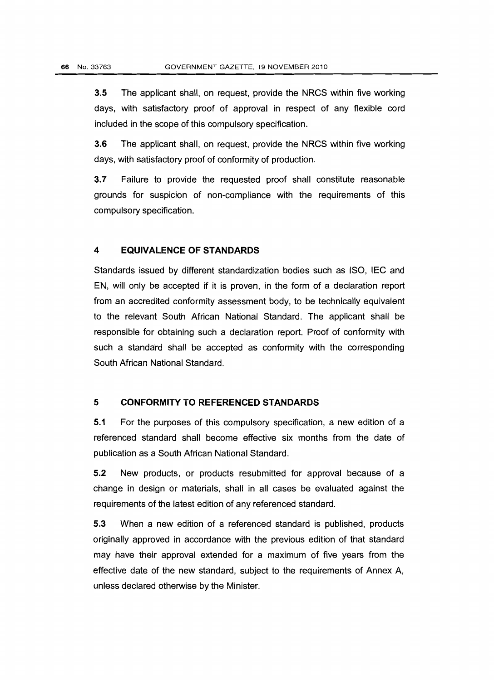3.5 The applicant shall, on request, provide the NRCS within five working days, with satisfactory proof of approval in respect of any flexible cord included in the scope of this compulsory specification.

3.6 The applicant shall, on request, provide the NRCS within five working days, with satisfactory proof of conformity of production.

3.7 Failure to provide the requested proof shall constitute reasonable grounds for suspicion of non-compliance with the requirements of this compulsory specification.

#### **4 EQUIVALENCE OF STANDARDS**

Standards issued by different standardization bodies such as ISO, IEC and EN, will only be accepted if it is proven, in the form of a declaration report from an accredited conformity assessment body, to be technically equivalent to the relevant South African National Standard. The applicant shall be responsible for obtaining such a declaration report. Proof of conformity with such a standard shall be accepted as conformity with the corresponding South African National Standard.

### **5 CONFORMITY TO REFERENCED STANDARDS**

5.1 For the purposes of this compulsory specification, a new edition of a referenced standard shall become effective six months from the date of publication as a South African National Standard.

5.2 New products, or products resubmitted for approval because of a change in design or materials, shall in all cases be evaluated against the requirements of the latest edition of any referenced standard.

5.3 When a new edition of a referenced standard is published, products originally approved in accordance with the previous edition of that standard may have their approval extended for a maximum of five years from the effective date of the new standard, subject to the requirements of Annex A, unless declared otherwise by the Minister.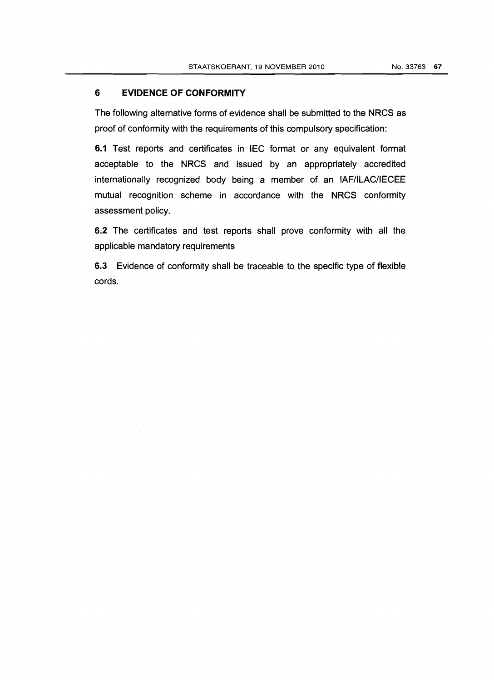## **6 EVIDENCE OF CONFORMITY**

The following alternative forms of evidence shall be submitted to the NRCS as proof of conformity with the requirements of this compulsory specification:

6.1 Test reports and certificates in IEC format or any equivalent format acceptable to the NRCS and issued by an appropriately accredited internationally recognized body being a member of an IAF/ILAC/IECEE mutual recognition scheme in accordance with the NRCS conformity assessment policy.

6.2 The certificates and test reports shall prove conformity with all the applicable mandatory requirements

6.3 Evidence of conformity shall be traceable to the specific type of flexible cords.